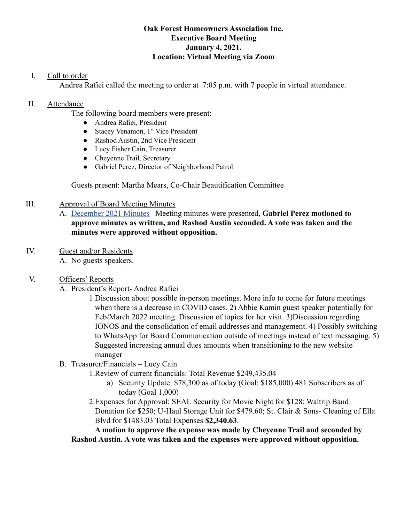#### **Oak Forest Homeowners Association Inc. Executive Board Meeting January 4, 2021. Location: Virtual Meeting via Zoom**

## I. Call to order

Andrea Rafiei called the meeting to order at 7:05 p.m. with 7 people in virtual attendance.

### II. Attendance

The following board members were present:

- Andrea Rafiei, President
- Stacey Venamon, 1<sup>st</sup> Vice President
- Rashod Austin, 2nd Vice President
- Lucy Fisher Cain, Treasurer
- Cheyenne Trail, Secretary
- Gabriel Perez, Director of Neighborhood Patrol

Guests present: Martha Mears, Co-Chair Beautification Committee

### III. Approval of Board Meeting Minutes

- A. [December 2021 Minutes–](https://drive.google.com/file/d/1rB1ZUEkMIQIUhZ75bBCDUWBccmJjE8z-/view?usp=sharing) Meeting minutes were presented, **Gabriel Perez motioned to approve minutes as written, and Rashod Austin seconded. A vote was taken and the minutes were approved without opposition.**
- IV. Guest and/or Residents
	- A. No guests speakers.

# V. Officers' Reports

A. President's Report- Andrea Rafiei

1.Discussion about possible in-person meetings. More info to come for future meetings when there is a decrease in COVID cases. 2) Abbie Kamin guest speaker potentially for Feb/March 2022 meeting. Discussion of topics for her visit. 3)Discussion regarding IONOS and the consolidation of email addresses and management. 4) Possibly switching to WhatsApp for Board Communication outside of meetings instead of text messaging. 5) Suggested increasing annual dues amounts when transitioning to the new website manager

- B. Treasurer/Financials Lucy Cain
	- 1.Review of current financials: Total Revenue \$249,435.04
		- a) Security Update: \$78,300 as of today (Goal: \$185,000) 481 Subscribers as of today (Goal 1,000)
	- 2.Expenses for Approval: SEAL Security for Movie Night for \$128; Waltrip Band Donation for \$250; U-Haul Storage Unit for \$479.60; St. Clair & Sons- Cleaning of Ella Blvd for \$1483.03 Total Expenses **\$2,340.63**.

**A motion to approve the expense was made by Cheyenne Trail and seconded by Rashod Austin. A vote was taken and the expenses were approved without opposition.**